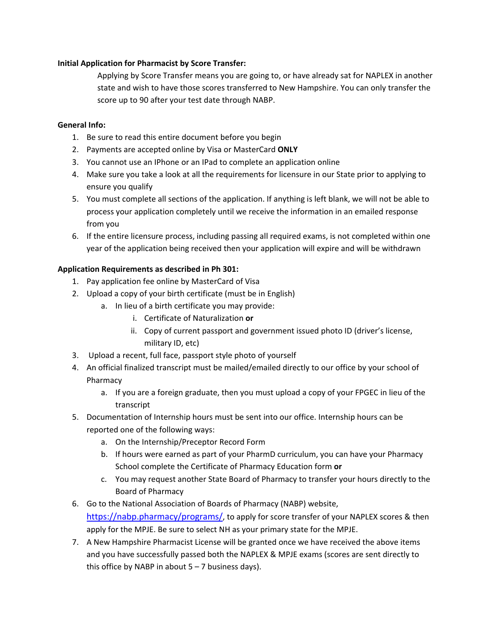## **Initial Application for Pharmacist by Score Transfer:**

Applying by Score Transfer means you are going to, or have already sat for NAPLEX in another state and wish to have those scores transferred to New Hampshire. You can only transfer the score up to 90 after your test date through NABP.

## **General Info:**

- 1. Be sure to read this entire document before you begin
- 2. Payments are accepted online by Visa or MasterCard **ONLY**
- 3. You cannot use an IPhone or an IPad to complete an application online
- 4. Make sure you take a look at all the requirements for licensure in our State prior to applying to ensure you qualify
- 5. You must complete all sections of the application. If anything is left blank, we will not be able to process your application completely until we receive the information in an emailed response from you
- 6. If the entire licensure process, including passing all required exams, is not completed within one year of the application being received then your application will expire and will be withdrawn

## **Application Requirements as described in Ph 301:**

- 1. Pay application fee online by MasterCard of Visa
- 2. Upload a copy of your birth certificate (must be in English)
	- a. In lieu of a birth certificate you may provide:
		- i. Certificate of Naturalization **or**
		- ii. Copy of current passport and government issued photo ID (driver's license, military ID, etc)
- 3. Upload a recent, full face, passport style photo of yourself
- 4. An official finalized transcript must be mailed/emailed directly to our office by your school of Pharmacy
	- a. If you are a foreign graduate, then you must upload a copy of your FPGEC in lieu of the transcript
- 5. Documentation of Internship hours must be sent into our office. Internship hours can be reported one of the following ways:
	- a. On the Internship/Preceptor Record Form
	- b. If hours were earned as part of your PharmD curriculum, you can have your Pharmacy School complete the Certificate of Pharmacy Education form **or**
	- c. You may request another State Board of Pharmacy to transfer your hours directly to the Board of Pharmacy
- 6. Go to the National Association of Boards of Pharmacy (NABP) website, https://nabp.pharmacy/programs/, to apply for score transfer of your NAPLEX scores & then apply for the MPJE. Be sure to select NH as your primary state for the MPJE.
- 7. A New Hampshire Pharmacist License will be granted once we have received the above items and you have successfully passed both the NAPLEX & MPJE exams (scores are sent directly to this office by NABP in about  $5 - 7$  business days).